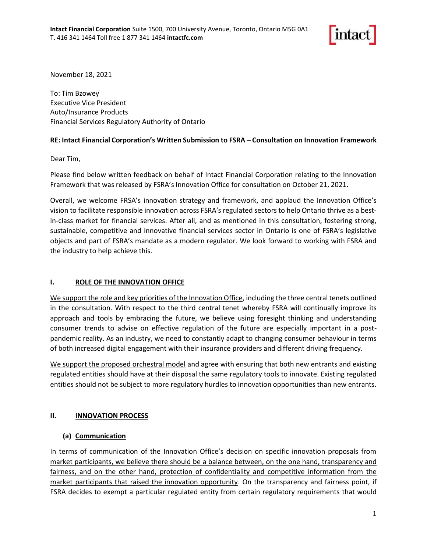

November 18, 2021

To: Tim Bzowey Executive Vice President Auto/Insurance Products Financial Services Regulatory Authority of Ontario

## **RE: Intact Financial Corporation's Written Submission to FSRA – Consultation on Innovation Framework**

Dear Tim,

Please find below written feedback on behalf of Intact Financial Corporation relating to the Innovation Framework that was released by FSRA's Innovation Office for consultation on October 21, 2021.

Overall, we welcome FRSA's innovation strategy and framework, and applaud the Innovation Office's vision to facilitate responsible innovation across FSRA's regulated sectors to help Ontario thrive as a bestin-class market for financial services. After all, and as mentioned in this consultation, fostering strong, sustainable, competitive and innovative financial services sector in Ontario is one of FSRA's legislative objects and part of FSRA's mandate as a modern regulator. We look forward to working with FSRA and the industry to help achieve this.

## **I. ROLE OF THE INNOVATION OFFICE**

We support the role and key priorities of the Innovation Office, including the three central tenets outlined in the consultation. With respect to the third central tenet whereby FSRA will continually improve its approach and tools by embracing the future, we believe using foresight thinking and understanding consumer trends to advise on effective regulation of the future are especially important in a postpandemic reality. As an industry, we need to constantly adapt to changing consumer behaviour in terms of both increased digital engagement with their insurance providers and different driving frequency.

We support the proposed orchestral model and agree with ensuring that both new entrants and existing regulated entities should have at their disposal the same regulatory tools to innovate. Existing regulated entities should not be subject to more regulatory hurdles to innovation opportunities than new entrants.

# **II. INNOVATION PROCESS**

# **(a) Communication**

In terms of communication of the Innovation Office's decision on specific innovation proposals from market participants, we believe there should be a balance between, on the one hand, transparency and fairness, and on the other hand, protection of confidentiality and competitive information from the market participants that raised the innovation opportunity. On the transparency and fairness point, if FSRA decides to exempt a particular regulated entity from certain regulatory requirements that would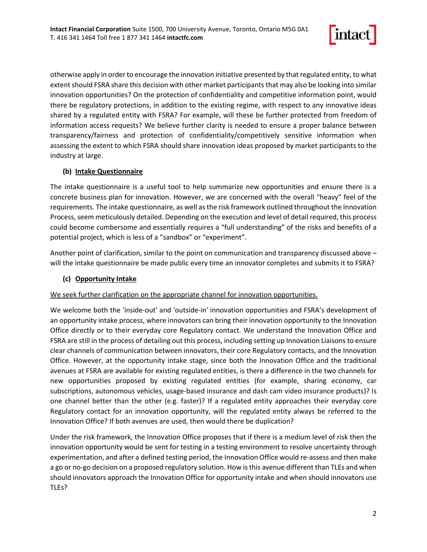

otherwise apply in order to encourage the innovation initiative presented by that regulated entity, to what extent should FSRA share this decision with other market participants that may also be looking into similar innovation opportunities? On the protection of confidentiality and competitive information point, would there be regulatory protections, in addition to the existing regime, with respect to any innovative ideas shared by a regulated entity with FSRA? For example, will these be further protected from freedom of information access requests? We believe further clarity is needed to ensure a proper balance between transparency/fairness and protection of confidentiality/competitively sensitive information when assessing the extent to which FSRA should share innovation ideas proposed by market participants to the industry at large.

# **(b) Intake Questionnaire**

The intake questionnaire is a useful tool to help summarize new opportunities and ensure there is a concrete business plan for innovation. However, we are concerned with the overall "heavy" feel of the requirements. The intake questionnaire, as well as the risk framework outlined throughout the Innovation Process, seem meticulously detailed. Depending on the execution and level of detail required, this process could become cumbersome and essentially requires a "full understanding" of the risks and benefits of a potential project, which is less of a "sandbox" or "experiment".

Another point of clarification, similar to the point on communication and transparency discussed above – will the intake questionnaire be made public every time an innovator completes and submits it to FSRA?

# **(c) Opportunity Intake**

We seek further clarification on the appropriate channel for innovation opportunities.

We welcome both the 'inside-out' and 'outside-in' innovation opportunities and FSRA's development of an opportunity intake process, where innovators can bring their innovation opportunity to the Innovation Office directly or to their everyday core Regulatory contact. We understand the Innovation Office and FSRA are still in the process of detailing out this process, including setting up Innovation Liaisons to ensure clear channels of communication between innovators, their core Regulatory contacts, and the Innovation Office. However, at the opportunity intake stage, since both the Innovation Office and the traditional avenues at FSRA are available for existing regulated entities, is there a difference in the two channels for new opportunities proposed by existing regulated entities (for example, sharing economy, car subscriptions, autonomous vehicles, usage-based insurance and dash cam video insurance products)? Is one channel better than the other (e.g. faster)? If a regulated entity approaches their everyday core Regulatory contact for an innovation opportunity, will the regulated entity always be referred to the Innovation Office? If both avenues are used, then would there be duplication?

Under the risk framework, the Innovation Office proposes that if there is a medium level of risk then the innovation opportunity would be sent for testing in a testing environment to resolve uncertainty through experimentation, and after a defined testing period, the Innovation Office would re-assess and then make a go or no-go decision on a proposed regulatory solution. How is this avenue different than TLEs and when should innovators approach the Innovation Office for opportunity intake and when should innovators use TLEs?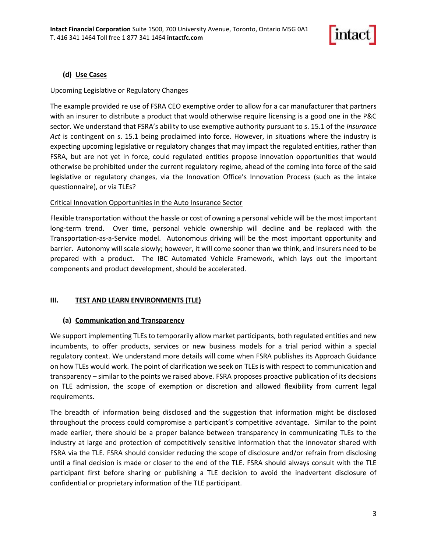

## **(d) Use Cases**

### Upcoming Legislative or Regulatory Changes

The example provided re use of FSRA CEO exemptive order to allow for a car manufacturer that partners with an insurer to distribute a product that would otherwise require licensing is a good one in the P&C sector. We understand that FSRA's ability to use exemptive authority pursuant to s. 15.1 of the *Insurance Act* is contingent on s. 15.1 being proclaimed into force. However, in situations where the industry is expecting upcoming legislative or regulatory changes that may impact the regulated entities, rather than FSRA, but are not yet in force, could regulated entities propose innovation opportunities that would otherwise be prohibited under the current regulatory regime, ahead of the coming into force of the said legislative or regulatory changes, via the Innovation Office's Innovation Process (such as the intake questionnaire), or via TLEs?

#### Critical Innovation Opportunities in the Auto Insurance Sector

Flexible transportation without the hassle or cost of owning a personal vehicle will be the most important long-term trend. Over time, personal vehicle ownership will decline and be replaced with the Transportation-as-a-Service model. Autonomous driving will be the most important opportunity and barrier. Autonomy will scale slowly; however, it will come sooner than we think, and insurers need to be prepared with a product. The IBC Automated Vehicle Framework, which lays out the important components and product development, should be accelerated.

## **III. TEST AND LEARN ENVIRONMENTS (TLE)**

#### **(a) Communication and Transparency**

We support implementing TLEs to temporarily allow market participants, both regulated entities and new incumbents, to offer products, services or new business models for a trial period within a special regulatory context. We understand more details will come when FSRA publishes its Approach Guidance on how TLEs would work. The point of clarification we seek on TLEs is with respect to communication and transparency – similar to the points we raised above. FSRA proposes proactive publication of its decisions on TLE admission, the scope of exemption or discretion and allowed flexibility from current legal requirements.

The breadth of information being disclosed and the suggestion that information might be disclosed throughout the process could compromise a participant's competitive advantage. Similar to the point made earlier, there should be a proper balance between transparency in communicating TLEs to the industry at large and protection of competitively sensitive information that the innovator shared with FSRA via the TLE. FSRA should consider reducing the scope of disclosure and/or refrain from disclosing until a final decision is made or closer to the end of the TLE. FSRA should always consult with the TLE participant first before sharing or publishing a TLE decision to avoid the inadvertent disclosure of confidential or proprietary information of the TLE participant.